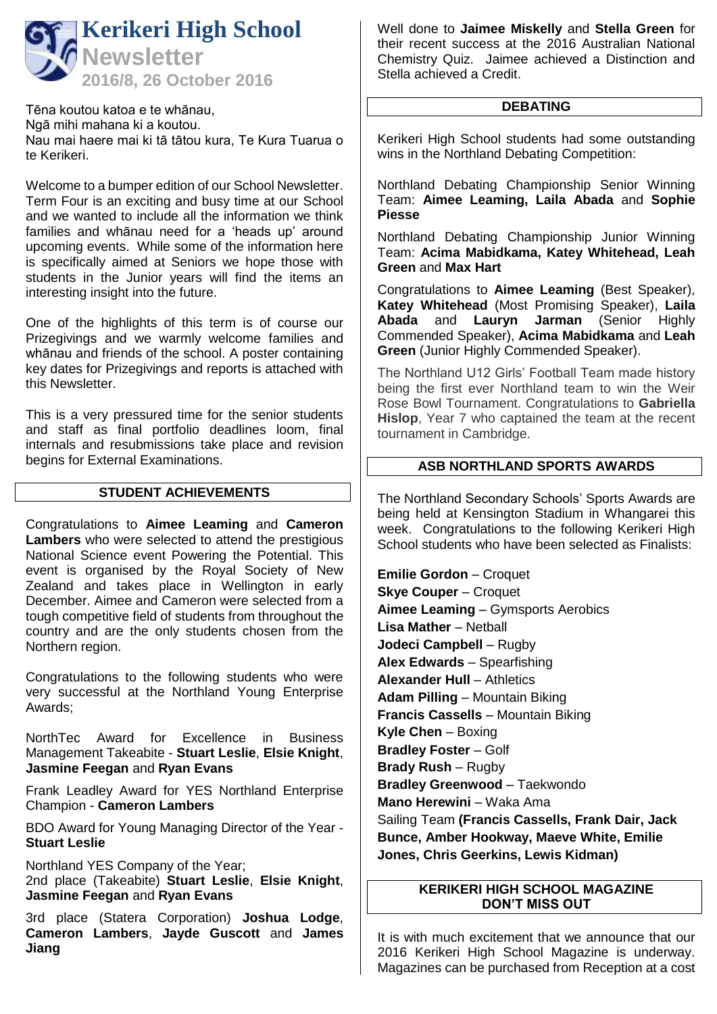

Tēna koutou katoa e te whānau, Ngā mihi mahana ki a koutou. Nau mai haere mai ki tā tātou kura, Te Kura Tuarua o te Kerikeri.

Welcome to a bumper edition of our School Newsletter. Term Four is an exciting and busy time at our School and we wanted to include all the information we think families and whānau need for a 'heads up' around upcoming events. While some of the information here is specifically aimed at Seniors we hope those with students in the Junior years will find the items an interesting insight into the future.

One of the highlights of this term is of course our Prizegivings and we warmly welcome families and whānau and friends of the school. A poster containing key dates for Prizegivings and reports is attached with this Newsletter.

This is a very pressured time for the senior students and staff as final portfolio deadlines loom, final internals and resubmissions take place and revision begins for External Examinations.

## **STUDENT ACHIEVEMENTS**

Congratulations to **Aimee Leaming** and **Cameron Lambers** who were selected to attend the prestigious National Science event Powering the Potential. This event is organised by the Royal Society of New Zealand and takes place in Wellington in early December. Aimee and Cameron were selected from a tough competitive field of students from throughout the country and are the only students chosen from the Northern region.

Congratulations to the following students who were very successful at the Northland Young Enterprise Awards;

NorthTec Award for Excellence in Business Management Takeabite - **Stuart Leslie**, **Elsie Knight**, **Jasmine Feegan** and **Ryan Evans**

Frank Leadley Award for YES Northland Enterprise Champion - **Cameron Lambers**

BDO Award for Young Managing Director of the Year - **Stuart Leslie**

Northland YES Company of the Year; 2nd place (Takeabite) **Stuart Leslie**, **Elsie Knight**, **Jasmine Feegan** and **Ryan Evans**

3rd place (Statera Corporation) **Joshua Lodge**, **Cameron Lambers**, **Jayde Guscott** and **James Jiang**

Well done to **Jaimee Miskelly** and **Stella Green** for their recent success at the 2016 Australian National Chemistry Quiz. Jaimee achieved a Distinction and Stella achieved a Credit.

### **DEBATING**

Kerikeri High School students had some outstanding wins in the Northland Debating Competition:

Northland Debating Championship Senior Winning Team: **Aimee Leaming, Laila Abada** and **Sophie Piesse**

Northland Debating Championship Junior Winning Team: **Acima Mabidkama, Katey Whitehead, Leah Green** and **Max Hart**

Congratulations to **Aimee Leaming** (Best Speaker), **Katey Whitehead** (Most Promising Speaker), **Laila Abada** and **Lauryn Jarman** (Senior Highly Commended Speaker), **Acima Mabidkama** and **Leah Green** (Junior Highly Commended Speaker).

The Northland U12 Girls' Football Team made history being the first ever Northland team to win the Weir Rose Bowl Tournament. Congratulations to **Gabriella Hislop**, Year 7 who captained the team at the recent tournament in Cambridge.

## **ASB NORTHLAND SPORTS AWARDS**

The Northland Secondary Schools' Sports Awards are being held at Kensington Stadium in Whangarei this week. Congratulations to the following Kerikeri High School students who have been selected as Finalists:

**Emilie Gordon – Croquet Skye Couper** – Croquet **Aimee Leaming** – Gymsports Aerobics **Lisa Mather** – Netball **Jodeci Campbell** – Rugby **Alex Edwards** – Spearfishing **Alexander Hull** – Athletics **Adam Pilling** – Mountain Biking **Francis Cassells** – Mountain Biking **Kyle Chen** – Boxing **Bradley Foster** – Golf **Brady Rush** – Rugby **Bradley Greenwood** – Taekwondo **Mano Herewini** – Waka Ama Sailing Team **(Francis Cassells, Frank Dair, Jack Bunce, Amber Hookway, Maeve White, Emilie Jones, Chris Geerkins, Lewis Kidman)**

## **KERIKERI HIGH SCHOOL MAGAZINE DON'T MISS OUT**

It is with much excitement that we announce that our 2016 Kerikeri High School Magazine is underway. Magazines can be purchased from Reception at a cost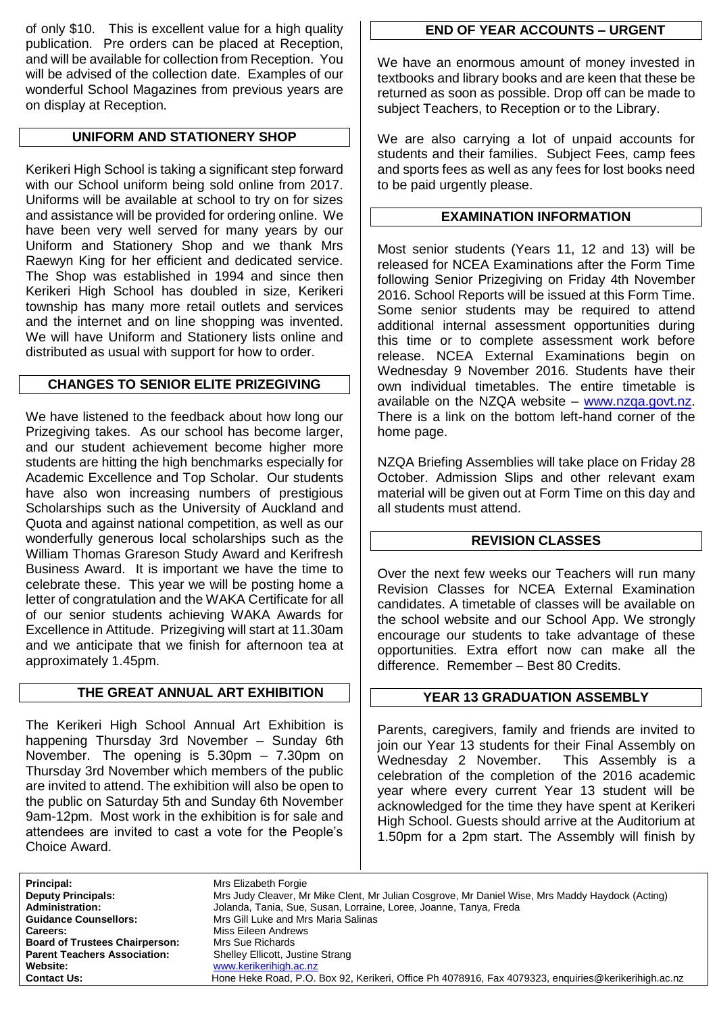of only \$10. This is excellent value for a high quality publication. Pre orders can be placed at Reception, and will be available for collection from Reception. You will be advised of the collection date. Examples of our wonderful School Magazines from previous years are on display at Reception.

## **UNIFORM AND STATIONERY SHOP**

Kerikeri High School is taking a significant step forward with our School uniform being sold online from 2017. Uniforms will be available at school to try on for sizes and assistance will be provided for ordering online. We have been very well served for many years by our Uniform and Stationery Shop and we thank Mrs Raewyn King for her efficient and dedicated service. The Shop was established in 1994 and since then Kerikeri High School has doubled in size, Kerikeri township has many more retail outlets and services and the internet and on line shopping was invented. We will have Uniform and Stationery lists online and distributed as usual with support for how to order.

## **CHANGES TO SENIOR ELITE PRIZEGIVING**

We have listened to the feedback about how long our Prizegiving takes. As our school has become larger, and our student achievement become higher more students are hitting the high benchmarks especially for Academic Excellence and Top Scholar. Our students have also won increasing numbers of prestigious Scholarships such as the University of Auckland and Quota and against national competition, as well as our wonderfully generous local scholarships such as the William Thomas Grareson Study Award and Kerifresh Business Award. It is important we have the time to celebrate these. This year we will be posting home a letter of congratulation and the WAKA Certificate for all of our senior students achieving WAKA Awards for Excellence in Attitude. Prizegiving will start at 11.30am and we anticipate that we finish for afternoon tea at approximately 1.45pm.

## **THE GREAT ANNUAL ART EXHIBITION**

The Kerikeri High School Annual Art Exhibition is happening Thursday 3rd November – Sunday 6th November. The opening is 5.30pm – 7.30pm on Thursday 3rd November which members of the public are invited to attend. The exhibition will also be open to the public on Saturday 5th and Sunday 6th November 9am-12pm. Most work in the exhibition is for sale and attendees are invited to cast a vote for the People's Choice Award.

# **END OF YEAR ACCOUNTS – URGENT**

We have an enormous amount of money invested in textbooks and library books and are keen that these be returned as soon as possible. Drop off can be made to subject Teachers, to Reception or to the Library.

We are also carrying a lot of unpaid accounts for students and their families. Subject Fees, camp fees and sports fees as well as any fees for lost books need to be paid urgently please.

## **EXAMINATION INFORMATION**

Most senior students (Years 11, 12 and 13) will be released for NCEA Examinations after the Form Time following Senior Prizegiving on Friday 4th November 2016. School Reports will be issued at this Form Time. Some senior students may be required to attend additional internal assessment opportunities during this time or to complete assessment work before release. NCEA External Examinations begin on Wednesday 9 November 2016. Students have their own individual timetables. The entire timetable is available on the NZQA website – [www.nzqa.govt.nz.](http://www.nzqa.govt.nz/) There is a link on the bottom left-hand corner of the home page.

NZQA Briefing Assemblies will take place on Friday 28 October. Admission Slips and other relevant exam material will be given out at Form Time on this day and all students must attend.

## **REVISION CLASSES**

Over the next few weeks our Teachers will run many Revision Classes for NCEA External Examination candidates. A timetable of classes will be available on the school website and our School App. We strongly encourage our students to take advantage of these opportunities. Extra effort now can make all the difference. Remember – Best 80 Credits.

## **YEAR 13 GRADUATION ASSEMBLY**

Parents, caregivers, family and friends are invited to join our Year 13 students for their Final Assembly on Wednesday 2 November. This Assembly is a celebration of the completion of the 2016 academic year where every current Year 13 student will be acknowledged for the time they have spent at Kerikeri High School. Guests should arrive at the Auditorium at 1.50pm for a 2pm start. The Assembly will finish by

Principal: **Mrs** Elizabeth Forgie **Careers:** Miss Eileen Andrews<br> **Board of Trustees Chairperson:** Mrs Sue Richards **Board of Trustees Chairperson:**<br>**Parent Teachers Association: Parent Teachers Association:** Shelley Ellicott, Justine Strang<br>Website: www.kerikerihigh.ac.nz

**Deputy Principals:** Mrs Judy Cleaver, Mr Mike Clent, Mr Julian Cosgrove, Mr Daniel Wise, Mrs Maddy Haydock (Acting)<br>**Administration:** Jolanda, Tania, Sue, Susan, Lorraine, Loree, Joanne, Tanya, Freda **Administration:** Jolanda, Tania, Sue, Susan, Lorraine, Loree, Joanne, Tanya, Freda **Guidance Counsellors:** Mrs Gill Luke and Mrs Maria Salinas **Website:** [www.kerikerihigh.ac.nz](http://www.kerikerihigh.ac.nz/) **Contact Us:** Hone Heke Road, P.O. Box 92, Kerikeri, Office Ph 4078916, Fax 4079323, enquiries@kerikerihigh.ac.nz